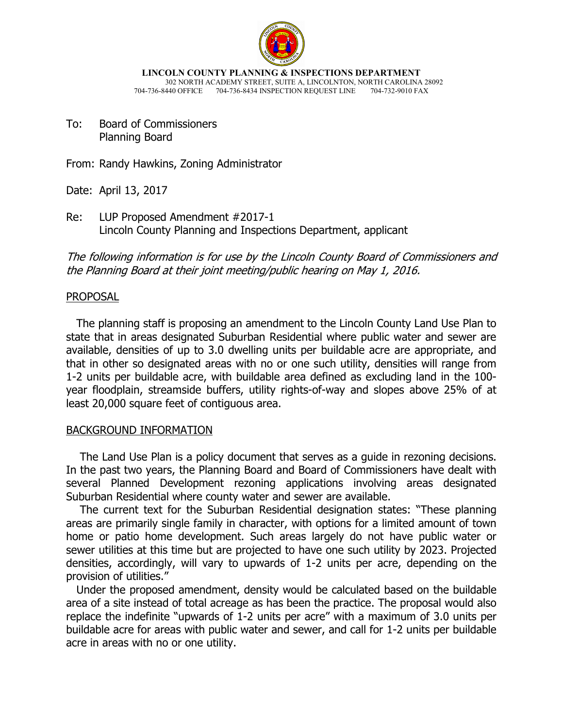

**LINCOLN COUNTY PLANNING & INSPECTIONS DEPARTMENT** 302 NORTH ACADEMY STREET, SUITE A, LINCOLNTON, NORTH CAROLINA 28092 704-736-8440 OFFICE 704-736-8434 INSPECTION REQUEST LINE 704-732-9010 FAX

To: Board of Commissioners Planning Board

From: Randy Hawkins, Zoning Administrator

Date: April 13, 2017

Re: LUP Proposed Amendment #2017-1 Lincoln County Planning and Inspections Department, applicant

The following information is for use by the Lincoln County Board of Commissioners and the Planning Board at their joint meeting/public hearing on May 1, 2016.

## PROPOSAL

 The planning staff is proposing an amendment to the Lincoln County Land Use Plan to state that in areas designated Suburban Residential where public water and sewer are available, densities of up to 3.0 dwelling units per buildable acre are appropriate, and that in other so designated areas with no or one such utility, densities will range from 1-2 units per buildable acre, with buildable area defined as excluding land in the 100 year floodplain, streamside buffers, utility rights-of-way and slopes above 25% of at least 20,000 square feet of contiguous area.

## BACKGROUND INFORMATION

 The Land Use Plan is a policy document that serves as a guide in rezoning decisions. In the past two years, the Planning Board and Board of Commissioners have dealt with several Planned Development rezoning applications involving areas designated Suburban Residential where county water and sewer are available.

 The current text for the Suburban Residential designation states: "These planning areas are primarily single family in character, with options for a limited amount of town home or patio home development. Such areas largely do not have public water or sewer utilities at this time but are projected to have one such utility by 2023. Projected densities, accordingly, will vary to upwards of 1-2 units per acre, depending on the provision of utilities."

 Under the proposed amendment, density would be calculated based on the buildable area of a site instead of total acreage as has been the practice. The proposal would also replace the indefinite "upwards of 1-2 units per acre" with a maximum of 3.0 units per buildable acre for areas with public water and sewer, and call for 1-2 units per buildable acre in areas with no or one utility.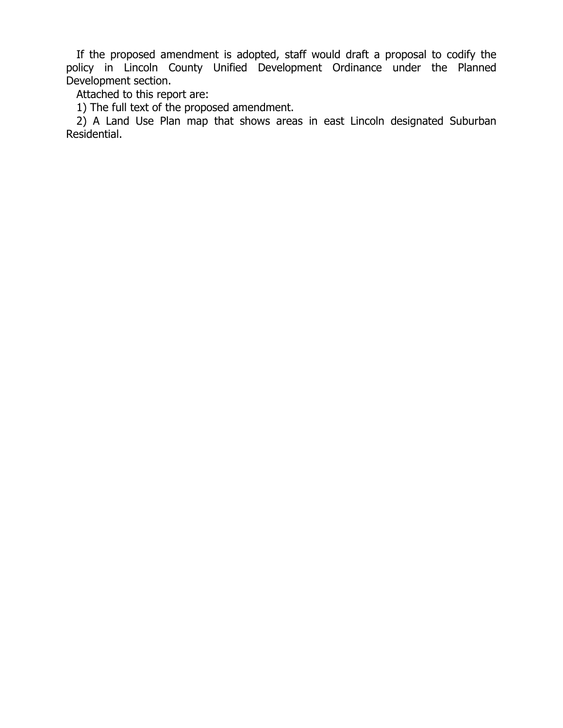If the proposed amendment is adopted, staff would draft a proposal to codify the policy in Lincoln County Unified Development Ordinance under the Planned Development section.

Attached to this report are:

1) The full text of the proposed amendment.

 2) A Land Use Plan map that shows areas in east Lincoln designated Suburban Residential.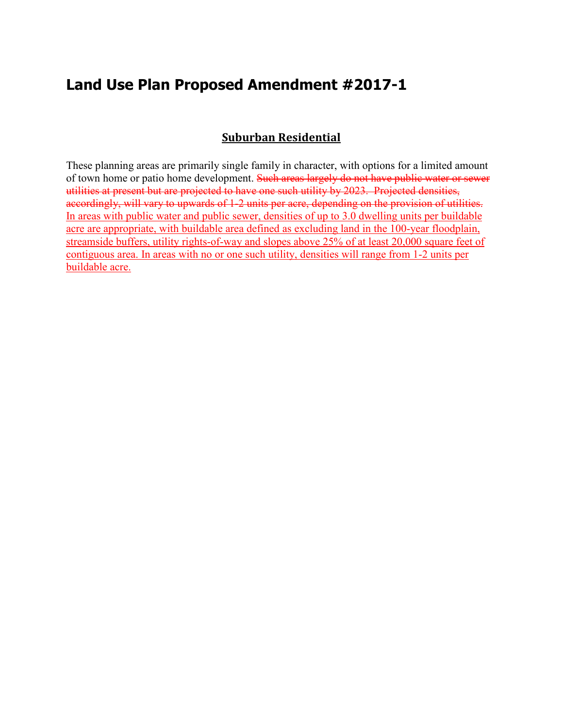## **Land Use Plan Proposed Amendment #2017-1**

## **Suburban Residential**

These planning areas are primarily single family in character, with options for a limited amount of town home or patio home development. Such areas largely do not have public water or sewer utilities at present but are projected to have one such utility by 2023. Projected densities, accordingly, will vary to upwards of 1-2 units per acre, depending on the provision of utilities. In areas with public water and public sewer, densities of up to 3.0 dwelling units per buildable acre are appropriate, with buildable area defined as excluding land in the 100-year floodplain, streamside buffers, utility rights-of-way and slopes above 25% of at least 20,000 square feet of contiguous area. In areas with no or one such utility, densities will range from 1-2 units per buildable acre.